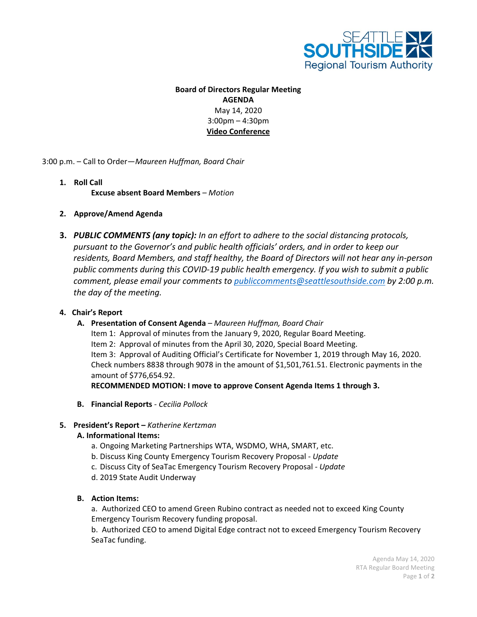

# **Board of Directors Regular Meeting AGENDA** May 14, 2020 3:00pm – 4:30pm **Video Conference**

3:00 p.m. – Call to Order—*Maureen Huffman, Board Chair*

# **1. Roll Call**

**Excuse absent Board Members** *– Motion*

# **2. Approve/Amend Agenda**

**3.** *PUBLIC COMMENTS (any topic): In an effort to adhere to the social distancing protocols, pursuant to the Governor's and public health officials' orders, and in order to keep our residents, Board Members, and staff healthy, the Board of Directors will not hear any in-person public comments during this COVID-19 public health emergency. If you wish to submit a public comment, please email your comments to [publiccomments@seattlesouthside.com](mailto:publiccomments@seattlesouthside.com) by 2:00 p.m. the day of the meeting.* 

#### **4. Chair's Report**

#### **A. Presentation of Consent Agenda** *– Maureen Huffman, Board Chair*

Item 1: Approval of minutes from the January 9, 2020, Regular Board Meeting. Item 2: Approval of minutes from the April 30, 2020, Special Board Meeting. Item 3: Approval of Auditing Official's Certificate for November 1, 2019 through May 16, 2020. Check numbers 8838 through 9078 in the amount of \$1,501,761.51. Electronic payments in the amount of \$776,654.92.

**RECOMMENDED MOTION: I move to approve Consent Agenda Items 1 through 3.**

**B. Financial Reports** *- Cecilia Pollock*

# **5. President's Report –** *Katherine Kertzman*

#### **A. Informational Items:**

- a. Ongoing Marketing Partnerships WTA, WSDMO, WHA, SMART, etc.
- b. Discuss King County Emergency Tourism Recovery Proposal *- Update*
- c. Discuss City of SeaTac Emergency Tourism Recovery Proposal *- Update*
- d. 2019 State Audit Underway
- **B. Action Items:**

a. Authorized CEO to amend Green Rubino contract as needed not to exceed King County Emergency Tourism Recovery funding proposal.

b. Authorized CEO to amend Digital Edge contract not to exceed Emergency Tourism Recovery SeaTac funding.